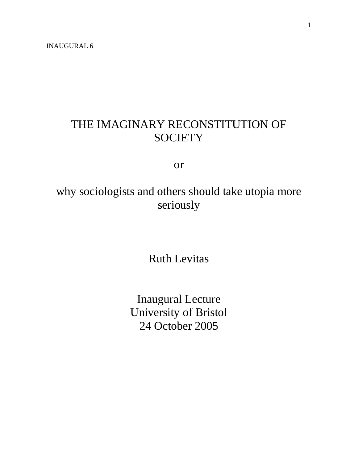### THE IMAGINARY RECONSTITUTION OF **SOCIETY**

or

# why sociologists and others should take utopia more seriously

Ruth Levitas

Inaugural Lecture University of Bristol 24 October 2005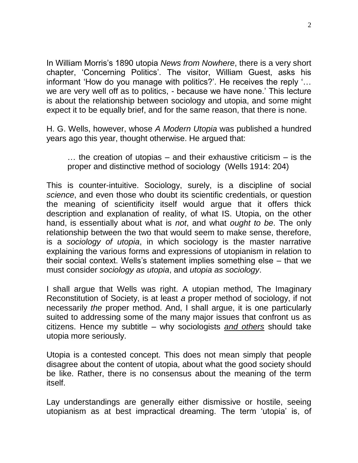In William Morris's 1890 utopia *News from Nowhere*, there is a very short chapter, 'Concerning Politics'. The visitor, William Guest, asks his informant 'How do you manage with politics?'. He receives the reply '… we are very well off as to politics, - because we have none.' This lecture is about the relationship between sociology and utopia, and some might expect it to be equally brief, and for the same reason, that there is none.

H. G. Wells, however, whose *A Modern Utopia* was published a hundred years ago this year, thought otherwise. He argued that:

… the creation of utopias – and their exhaustive criticism – is the proper and distinctive method of sociology (Wells 1914: 204)

This is counter-intuitive. Sociology, surely, is a discipline of social *science*, and even those who doubt its scientific credentials, or question the meaning of scientificity itself would argue that it offers thick description and explanation of reality, of what IS. Utopia, on the other hand, is essentially about what is *not*, and what *ought to be*. The only relationship between the two that would seem to make sense, therefore, is a *sociology of utopia*, in which sociology is the master narrative explaining the various forms and expressions of utopianism in relation to their social context. Wells's statement implies something else – that we must consider *sociology as utopia*, and *utopia as sociology*.

I shall argue that Wells was right. A utopian method, The Imaginary Reconstitution of Society, is at least *a* proper method of sociology, if not necessarily *the* proper method. And, I shall argue, it is one particularly suited to addressing some of the many major issues that confront us as citizens. Hence my subtitle – why sociologists *and others* should take utopia more seriously.

Utopia is a contested concept. This does not mean simply that people disagree about the content of utopia, about what the good society should be like. Rather, there is no consensus about the meaning of the term itself.

Lay understandings are generally either dismissive or hostile, seeing utopianism as at best impractical dreaming. The term 'utopia' is, of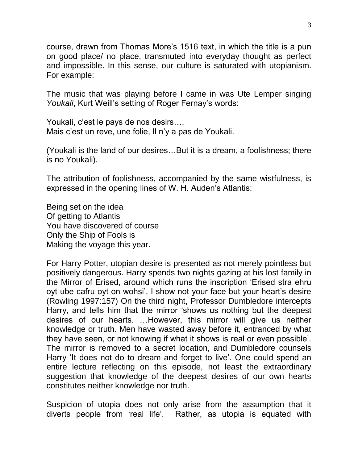course, drawn from Thomas More's 1516 text, in which the title is a pun on good place/ no place, transmuted into everyday thought as perfect and impossible. In this sense, our culture is saturated with utopianism. For example:

The music that was playing before I came in was Ute Lemper singing *Youkali*, Kurt Weill's setting of Roger Fernay's words:

Youkali, c'est le pays de nos desirs…. Mais c'est un reve, une folie, Il n'y a pas de Youkali.

(Youkali is the land of our desires…But it is a dream, a foolishness; there is no Youkali).

The attribution of foolishness, accompanied by the same wistfulness, is expressed in the opening lines of W. H. Auden's Atlantis:

Being set on the idea Of getting to Atlantis You have discovered of course Only the Ship of Fools is Making the voyage this year.

For Harry Potter, utopian desire is presented as not merely pointless but positively dangerous. Harry spends two nights gazing at his lost family in the Mirror of Erised, around which runs the inscription 'Erised stra ehru oyt ube cafru oyt on wohsi', I show not your face but your heart's desire (Rowling 1997:157) On the third night, Professor Dumbledore intercepts Harry, and tells him that the mirror 'shows us nothing but the deepest desires of our hearts. …However, this mirror will give us neither knowledge or truth. Men have wasted away before it, entranced by what they have seen, or not knowing if what it shows is real or even possible'. The mirror is removed to a secret location, and Dumbledore counsels Harry 'It does not do to dream and forget to live'. One could spend an entire lecture reflecting on this episode, not least the extraordinary suggestion that knowledge of the deepest desires of our own hearts constitutes neither knowledge nor truth.

Suspicion of utopia does not only arise from the assumption that it diverts people from 'real life'. Rather, as utopia is equated with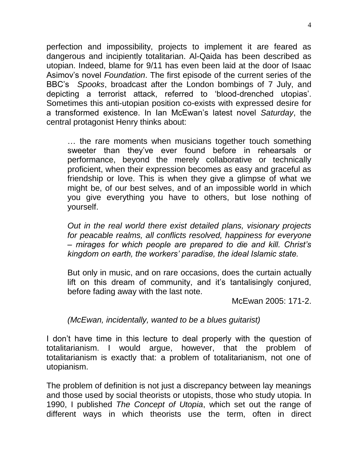perfection and impossibility, projects to implement it are feared as dangerous and incipiently totalitarian. Al-Qaida has been described as utopian. Indeed, blame for 9/11 has even been laid at the door of Isaac Asimov's novel *Foundation*. The first episode of the current series of the BBC's *Spooks*, broadcast after the London bombings of 7 July, and depicting a terrorist attack, referred to 'blood-drenched utopias'. Sometimes this anti-utopian position co-exists with expressed desire for a transformed existence. In Ian McEwan's latest novel *Saturday*, the central protagonist Henry thinks about:

… the rare moments when musicians together touch something sweeter than they've ever found before in rehearsals or performance, beyond the merely collaborative or technically proficient, when their expression becomes as easy and graceful as friendship or love. This is when they give a glimpse of what we might be, of our best selves, and of an impossible world in which you give everything you have to others, but lose nothing of yourself.

*Out in the real world there exist detailed plans, visionary projects for peacable realms, all conflicts resolved, happiness for everyone – mirages for which people are prepared to die and kill. Christ's kingdom on earth, the workers' paradise, the ideal Islamic state.*

But only in music, and on rare occasions, does the curtain actually lift on this dream of community, and it's tantalisingly conjured, before fading away with the last note.

McEwan 2005: 171-2.

*(McEwan, incidentally, wanted to be a blues guitarist)*

I don't have time in this lecture to deal properly with the question of totalitarianism. I would argue, however, that the problem of totalitarianism is exactly that: a problem of totalitarianism, not one of utopianism.

The problem of definition is not just a discrepancy between lay meanings and those used by social theorists or utopists, those who study utopia. In 1990, I published *The Concept of Utopia*, which set out the range of different ways in which theorists use the term, often in direct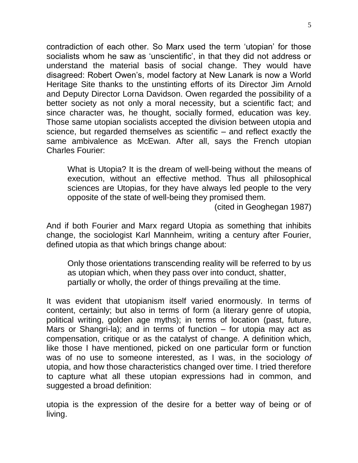contradiction of each other. So Marx used the term 'utopian' for those socialists whom he saw as 'unscientific', in that they did not address or understand the material basis of social change. They would have disagreed: Robert Owen's, model factory at New Lanark is now a World Heritage Site thanks to the unstinting efforts of its Director Jim Arnold and Deputy Director Lorna Davidson. Owen regarded the possibility of a better society as not only a moral necessity, but a scientific fact; and since character was, he thought, socially formed, education was key. Those same utopian socialists accepted the division between utopia and science, but regarded themselves as scientific – and reflect exactly the same ambivalence as McEwan. After all, says the French utopian Charles Fourier:

What is Utopia? It is the dream of well-being without the means of execution, without an effective method. Thus all philosophical sciences are Utopias, for they have always led people to the very opposite of the state of well-being they promised them.

(cited in Geoghegan 1987)

And if both Fourier and Marx regard Utopia as something that inhibits change, the sociologist Karl Mannheim, writing a century after Fourier, defined utopia as that which brings change about:

Only those orientations transcending reality will be referred to by us as utopian which, when they pass over into conduct, shatter, partially or wholly, the order of things prevailing at the time.

It was evident that utopianism itself varied enormously. In terms of content, certainly; but also in terms of form (a literary genre of utopia, political writing, golden age myths); in terms of location (past, future, Mars or Shangri-la); and in terms of function  $-$  for utopia may act as compensation, critique or as the catalyst of change. A definition which, like those I have mentioned, picked on one particular form or function was of no use to someone interested, as I was, in the sociology *of* utopia, and how those characteristics changed over time. I tried therefore to capture what all these utopian expressions had in common, and suggested a broad definition:

utopia is the expression of the desire for a better way of being or of living.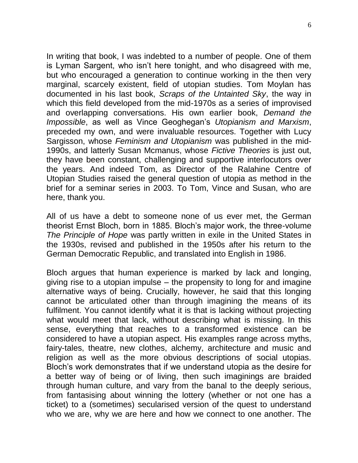In writing that book, I was indebted to a number of people. One of them is Lyman Sargent, who isn't here tonight, and who disagreed with me, but who encouraged a generation to continue working in the then very marginal, scarcely existent, field of utopian studies. Tom Moylan has documented in his last book, *Scraps of the Untainted Sky*, the way in which this field developed from the mid-1970s as a series of improvised and overlapping conversations. His own earlier book, *Demand the Impossible*, as well as Vince Geoghegan's *Utopianism and Marxism*, preceded my own, and were invaluable resources. Together with Lucy Sargisson, whose *Feminism and Utopianism* was published in the mid-1990s, and latterly Susan Mcmanus, whose *Fictive Theories* is just out, they have been constant, challenging and supportive interlocutors over the years. And indeed Tom, as Director of the Ralahine Centre of Utopian Studies raised the general question of utopia as method in the brief for a seminar series in 2003. To Tom, Vince and Susan, who are here, thank you.

All of us have a debt to someone none of us ever met, the German theorist Ernst Bloch, born in 1885. Bloch's major work, the three-volume *The Principle of Hope* was partly written in exile in the United States in the 1930s, revised and published in the 1950s after his return to the German Democratic Republic, and translated into English in 1986.

Bloch argues that human experience is marked by lack and longing, giving rise to a utopian impulse – the propensity to long for and imagine alternative ways of being. Crucially, however, he said that this longing cannot be articulated other than through imagining the means of its fulfilment. You cannot identify what it is that is lacking without projecting what would meet that lack, without describing what is missing. In this sense, everything that reaches to a transformed existence can be considered to have a utopian aspect. His examples range across myths, fairy-tales, theatre, new clothes, alchemy, architecture and music and religion as well as the more obvious descriptions of social utopias. Bloch's work demonstrates that if we understand utopia as the desire for a better way of being or of living, then such imaginings are braided through human culture, and vary from the banal to the deeply serious, from fantasising about winning the lottery (whether or not one has a ticket) to a (sometimes) secularised version of the quest to understand who we are, why we are here and how we connect to one another. The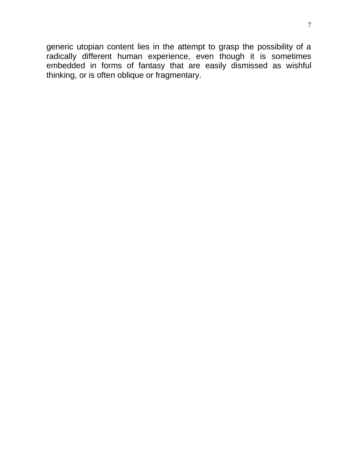generic utopian content lies in the attempt to grasp the possibility of a radically different human experience, even though it is sometimes embedded in forms of fantasy that are easily dismissed as wishful thinking, or is often oblique or fragmentary.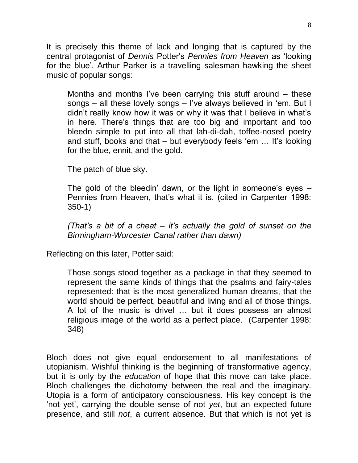It is precisely this theme of lack and longing that is captured by the central protagonist of *Dennis* Potter's *Pennies from Heaven* as 'looking for the blue'. Arthur Parker is a travelling salesman hawking the sheet music of popular songs:

Months and months I've been carrying this stuff around – these songs – all these lovely songs – I've always believed in 'em. But I didn't really know how it was or why it was that I believe in what's in here. There's things that are too big and important and too bleedn simple to put into all that lah-di-dah, toffee-nosed poetry and stuff, books and that – but everybody feels 'em … It's looking for the blue, ennit, and the gold.

The patch of blue sky.

The gold of the bleedin' dawn, or the light in someone's eyes – Pennies from Heaven, that's what it is. (cited in Carpenter 1998: 350-1)

*(That's a bit of a cheat – it's actually the gold of sunset on the Birmingham-Worcester Canal rather than dawn)*

Reflecting on this later, Potter said:

Those songs stood together as a package in that they seemed to represent the same kinds of things that the psalms and fairy-tales represented: that is the most generalized human dreams, that the world should be perfect, beautiful and living and all of those things. A lot of the music is drivel … but it does possess an almost religious image of the world as a perfect place. (Carpenter 1998: 348)

Bloch does not give equal endorsement to all manifestations of utopianism. Wishful thinking is the beginning of transformative agency, but it is only by the *education* of hope that this move can take place. Bloch challenges the dichotomy between the real and the imaginary. Utopia is a form of anticipatory consciousness. His key concept is the 'not yet', carrying the double sense of not *yet*, but an expected future presence, and still *not*, a current absence. But that which is not yet is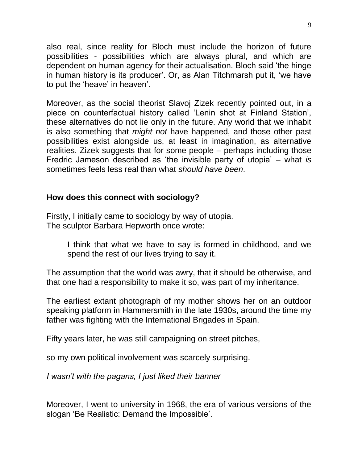also real, since reality for Bloch must include the horizon of future possibilities - possibilities which are always plural, and which are dependent on human agency for their actualisation. Bloch said 'the hinge in human history is its producer'. Or, as Alan Titchmarsh put it, 'we have to put the 'heave' in heaven'.

Moreover, as the social theorist Slavoj Zizek recently pointed out, in a piece on counterfactual history called 'Lenin shot at Finland Station', these alternatives do not lie only in the future. Any world that we inhabit is also something that *might not* have happened, and those other past possibilities exist alongside us, at least in imagination, as alternative realities. Zizek suggests that for some people – perhaps including those Fredric Jameson described as 'the invisible party of utopia' – what *is* sometimes feels less real than what *should have been*.

#### **How does this connect with sociology?**

Firstly, I initially came to sociology by way of utopia. The sculptor Barbara Hepworth once wrote:

> I think that what we have to say is formed in childhood, and we spend the rest of our lives trying to say it.

The assumption that the world was awry, that it should be otherwise, and that one had a responsibility to make it so, was part of my inheritance.

The earliest extant photograph of my mother shows her on an outdoor speaking platform in Hammersmith in the late 1930s, around the time my father was fighting with the International Brigades in Spain.

Fifty years later, he was still campaigning on street pitches,

so my own political involvement was scarcely surprising.

*I wasn't with the pagans, I just liked their banner*

Moreover, I went to university in 1968, the era of various versions of the slogan 'Be Realistic: Demand the Impossible'.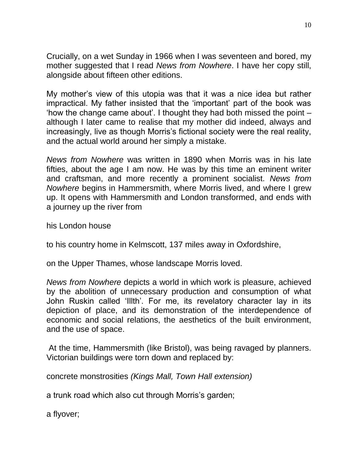Crucially, on a wet Sunday in 1966 when I was seventeen and bored, my mother suggested that I read *News from Nowhere*. I have her copy still, alongside about fifteen other editions.

My mother's view of this utopia was that it was a nice idea but rather impractical. My father insisted that the 'important' part of the book was 'how the change came about'. I thought they had both missed the point – although I later came to realise that my mother did indeed, always and increasingly, live as though Morris's fictional society were the real reality, and the actual world around her simply a mistake.

*News from Nowhere* was written in 1890 when Morris was in his late fifties, about the age I am now. He was by this time an eminent writer and craftsman, and more recently a prominent socialist. *News from Nowhere* begins in Hammersmith, where Morris lived, and where I grew up. It opens with Hammersmith and London transformed, and ends with a journey up the river from

his London house

to his country home in Kelmscott, 137 miles away in Oxfordshire,

on the Upper Thames, whose landscape Morris loved.

*News from Nowhere* depicts a world in which work is pleasure, achieved by the abolition of unnecessary production and consumption of what John Ruskin called 'Illth'. For me, its revelatory character lay in its depiction of place, and its demonstration of the interdependence of economic and social relations, the aesthetics of the built environment, and the use of space.

At the time, Hammersmith (like Bristol), was being ravaged by planners. Victorian buildings were torn down and replaced by:

concrete monstrosities *(Kings Mall, Town Hall extension)*

a trunk road which also cut through Morris's garden;

a flyover;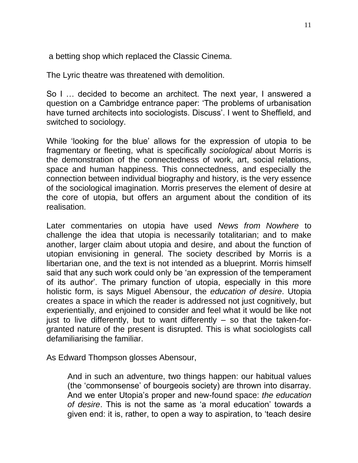a betting shop which replaced the Classic Cinema.

The Lyric theatre was threatened with demolition.

So I … decided to become an architect. The next year, I answered a question on a Cambridge entrance paper: 'The problems of urbanisation have turned architects into sociologists. Discuss'. I went to Sheffield, and switched to sociology.

While 'looking for the blue' allows for the expression of utopia to be fragmentary or fleeting, what is specifically *sociological* about Morris is the demonstration of the connectedness of work, art, social relations, space and human happiness. This connectedness, and especially the connection between individual biography and history, is the very essence of the sociological imagination. Morris preserves the element of desire at the core of utopia, but offers an argument about the condition of its realisation.

Later commentaries on utopia have used *News from Nowhere* to challenge the idea that utopia is necessarily totalitarian; and to make another, larger claim about utopia and desire, and about the function of utopian envisioning in general. The society described by Morris is a libertarian one, and the text is not intended as a blueprint. Morris himself said that any such work could only be 'an expression of the temperament of its author'. The primary function of utopia, especially in this more holistic form, is says Miguel Abensour, the *education of desire*. Utopia creates a space in which the reader is addressed not just cognitively, but experientially, and enjoined to consider and feel what it would be like not just to live differently, but to want differently  $-$  so that the taken-forgranted nature of the present is disrupted. This is what sociologists call defamiliarising the familiar.

As Edward Thompson glosses Abensour,

And in such an adventure, two things happen: our habitual values (the 'commonsense' of bourgeois society) are thrown into disarray. And we enter Utopia's proper and new-found space: *the education of desire*. This is not the same as 'a moral education' towards a given end: it is, rather, to open a way to aspiration, to 'teach desire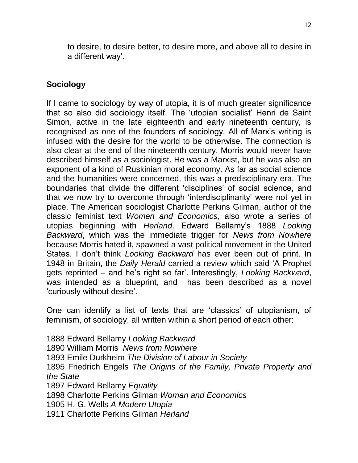to desire, to desire better, to desire more, and above all to desire in a different way'.

### **Sociology**

If I came to sociology by way of utopia, it is of much greater significance that so also did sociology itself. The 'utopian socialist' Henri de Saint Simon, active in the late eighteenth and early nineteenth century, is recognised as one of the founders of sociology. All of Marx's writing is infused with the desire for the world to be otherwise. The connection is also clear at the end of the nineteenth century. Morris would never have described himself as a sociologist. He was a Marxist, but he was also an exponent of a kind of Ruskinian moral economy. As far as social science and the humanities were concerned, this was a predisciplinary era. The boundaries that divide the different 'disciplines' of social science, and that we now try to overcome through 'interdisciplinarity' were not yet in place. The American sociologist Charlotte Perkins Gilman, author of the classic feminist text *Women and Economics*, also wrote a series of utopias beginning with *Herland*. Edward Bellamy's 1888 *Looking Backward*, which was the immediate trigger for *News from Nowhere* because Morris hated it, spawned a vast political movement in the United States. I don't think *Looking Backward* has ever been out of print. In 1948 in Britain, the *Daily Herald* carried a review which said 'A Prophet gets reprinted – and he's right so far'. Interestingly, *Looking Backward*, was intended as a blueprint, and has been described as a novel 'curiously without desire'.

One can identify a list of texts that are 'classics' of utopianism, of feminism, of sociology, all written within a short period of each other:

1888 Edward Bellamy *Looking Backward* 1890 William Morris *News from Nowhere* 1893 Emile Durkheim *The Division of Labour in Society* 1895 Friedrich Engels *The Origins of the Family, Private Property and the State* 1897 Edward Bellamy *Equality* 1898 Charlotte Perkins Gilman *Woman and Economics* 1905 H. G. Wells *A Modern Utopia* 1911 Charlotte Perkins Gilman *Herland*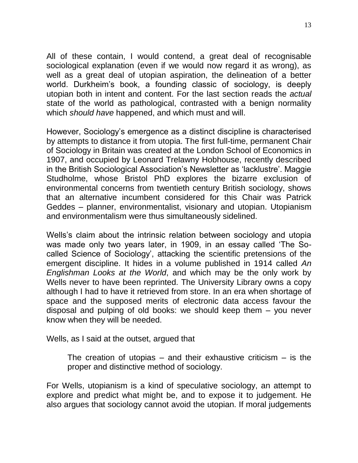All of these contain, I would contend, a great deal of recognisable sociological explanation (even if we would now regard it as wrong), as well as a great deal of utopian aspiration, the delineation of a better world. Durkheim's book, a founding classic of sociology, is deeply utopian both in intent and content. For the last section reads the *actual* state of the world as pathological, contrasted with a benign normality which *should have* happened, and which must and will.

However, Sociology's emergence as a distinct discipline is characterised by attempts to distance it from utopia. The first full-time, permanent Chair of Sociology in Britain was created at the London School of Economics in 1907, and occupied by Leonard Trelawny Hobhouse, recently described in the British Sociological Association's Newsletter as 'lacklustre'. Maggie Studholme, whose Bristol PhD explores the bizarre exclusion of environmental concerns from twentieth century British sociology, shows that an alternative incumbent considered for this Chair was Patrick Geddes – planner, environmentalist, visionary and utopian. Utopianism and environmentalism were thus simultaneously sidelined.

Wells's claim about the intrinsic relation between sociology and utopia was made only two years later, in 1909, in an essay called 'The Socalled Science of Sociology', attacking the scientific pretensions of the emergent discipline. It hides in a volume published in 1914 called *An Englishman Looks at the World*, and which may be the only work by Wells never to have been reprinted. The University Library owns a copy although I had to have it retrieved from store. In an era when shortage of space and the supposed merits of electronic data access favour the disposal and pulping of old books: we should keep them – you never know when they will be needed.

Wells, as I said at the outset, argued that

The creation of utopias  $-$  and their exhaustive criticism  $-$  is the proper and distinctive method of sociology.

For Wells, utopianism is a kind of speculative sociology, an attempt to explore and predict what might be, and to expose it to judgement. He also argues that sociology cannot avoid the utopian. If moral judgements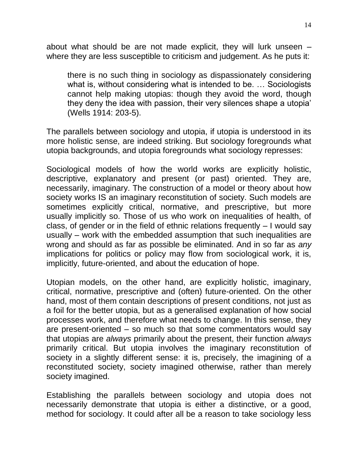about what should be are not made explicit, they will lurk unseen – where they are less susceptible to criticism and judgement. As he puts it:

there is no such thing in sociology as dispassionately considering what is, without considering what is intended to be. … Sociologists cannot help making utopias: though they avoid the word, though they deny the idea with passion, their very silences shape a utopia' (Wells 1914: 203-5).

The parallels between sociology and utopia, if utopia is understood in its more holistic sense, are indeed striking. But sociology foregrounds what utopia backgrounds, and utopia foregrounds what sociology represses:

Sociological models of how the world works are explicitly holistic, descriptive, explanatory and present (or past) oriented. They are, necessarily, imaginary. The construction of a model or theory about how society works IS an imaginary reconstitution of society. Such models are sometimes explicitly critical, normative, and prescriptive, but more usually implicitly so. Those of us who work on inequalities of health, of class, of gender or in the field of ethnic relations frequently – I would say usually – work with the embedded assumption that such inequalities are wrong and should as far as possible be eliminated. And in so far as *any* implications for politics or policy may flow from sociological work, it is, implicitly, future-oriented, and about the education of hope.

Utopian models, on the other hand, are explicitly holistic, imaginary, critical, normative, prescriptive and (often) future-oriented. On the other hand, most of them contain descriptions of present conditions, not just as a foil for the better utopia, but as a generalised explanation of how social processes work, and therefore what needs to change. In this sense, they are present-oriented – so much so that some commentators would say that utopias are *always* primarily about the present, their function *always* primarily critical. But utopia involves the imaginary reconstitution of society in a slightly different sense: it is, precisely, the imagining of a reconstituted society, society imagined otherwise, rather than merely society imagined.

Establishing the parallels between sociology and utopia does not necessarily demonstrate that utopia is either a distinctive, or a good, method for sociology. It could after all be a reason to take sociology less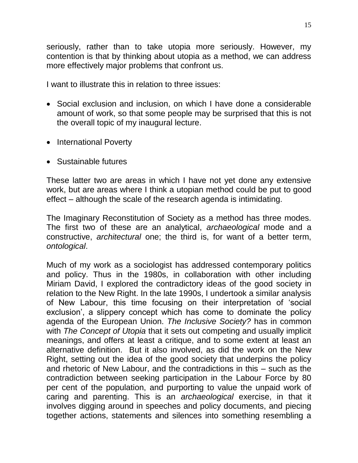seriously, rather than to take utopia more seriously. However, my contention is that by thinking about utopia as a method, we can address more effectively major problems that confront us.

I want to illustrate this in relation to three issues:

- Social exclusion and inclusion, on which I have done a considerable amount of work, so that some people may be surprised that this is not the overall topic of my inaugural lecture.
- International Poverty
- Sustainable futures

These latter two are areas in which I have not yet done any extensive work, but are areas where I think a utopian method could be put to good effect – although the scale of the research agenda is intimidating.

The Imaginary Reconstitution of Society as a method has three modes. The first two of these are an analytical, *archaeological* mode and a constructive, *architectural* one; the third is, for want of a better term, *ontological*.

Much of my work as a sociologist has addressed contemporary politics and policy. Thus in the 1980s, in collaboration with other including Miriam David, I explored the contradictory ideas of the good society in relation to the New Right. In the late 1990s, I undertook a similar analysis of New Labour, this time focusing on their interpretation of 'social exclusion', a slippery concept which has come to dominate the policy agenda of the European Union. *The Inclusive Society?* has in common with *The Concept of Utopia* that it sets out competing and usually implicit meanings, and offers at least a critique, and to some extent at least an alternative definition. But it also involved, as did the work on the New Right, setting out the idea of the good society that underpins the policy and rhetoric of New Labour, and the contradictions in this – such as the contradiction between seeking participation in the Labour Force by 80 per cent of the population, and purporting to value the unpaid work of caring and parenting. This is an *archaeological* exercise, in that it involves digging around in speeches and policy documents, and piecing together actions, statements and silences into something resembling a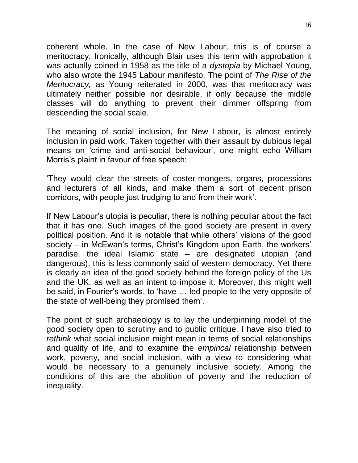coherent whole. In the case of New Labour, this is of course a meritocracy. Ironically, although Blair uses this term with approbation it was actually coined in 1958 as the title of a *dystopia* by Michael Young, who also wrote the 1945 Labour manifesto. The point of *The Rise of the Meritocracy,* as Young reiterated in 2000, was that meritocracy was ultimately neither possible nor desirable, if only because the middle classes will do anything to prevent their dimmer offspring from descending the social scale.

The meaning of social inclusion, for New Labour, is almost entirely inclusion in paid work. Taken together with their assault by dubious legal means on 'crime and anti-social behaviour', one might echo William Morris's plaint in favour of free speech:

'They would clear the streets of coster-mongers, organs, processions and lecturers of all kinds, and make them a sort of decent prison corridors, with people just trudging to and from their work'.

If New Labour's utopia is peculiar, there is nothing peculiar about the fact that it has one. Such images of the good society are present in every political position. And it is notable that while others' visions of the good society – in McEwan's terms, Christ's Kingdom upon Earth, the workers' paradise, the ideal Islamic state – are designated utopian (and dangerous), this is less commonly said of western democracy. Yet there is clearly an idea of the good society behind the foreign policy of the Us and the UK, as well as an intent to impose it. Moreover, this might well be said, in Fourier's words, to 'have … led people to the very opposite of the state of well-being they promised them'.

The point of such archaeology is to lay the underpinning model of the good society open to scrutiny and to public critique. I have also tried to *rethink* what social inclusion might mean in terms of social relationships and quality of life, and to examine the *empirical* relationship between work, poverty, and social inclusion, with a view to considering what would be necessary to a genuinely inclusive society. Among the conditions of this are the abolition of poverty and the reduction of inequality.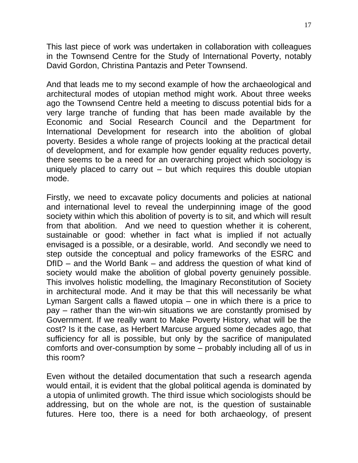This last piece of work was undertaken in collaboration with colleagues in the Townsend Centre for the Study of International Poverty, notably David Gordon, Christina Pantazis and Peter Townsend.

And that leads me to my second example of how the archaeological and architectural modes of utopian method might work. About three weeks ago the Townsend Centre held a meeting to discuss potential bids for a very large tranche of funding that has been made available by the Economic and Social Research Council and the Department for International Development for research into the abolition of global poverty. Besides a whole range of projects looking at the practical detail of development, and for example how gender equality reduces poverty, there seems to be a need for an overarching project which sociology is uniquely placed to carry out – but which requires this double utopian mode.

Firstly, we need to excavate policy documents and policies at national and international level to reveal the underpinning image of the good society within which this abolition of poverty is to sit, and which will result from that abolition. And we need to question whether it is coherent, sustainable or good: whether in fact what is implied if not actually envisaged is a possible, or a desirable, world. And secondly we need to step outside the conceptual and policy frameworks of the ESRC and DfID – and the World Bank – and address the question of what kind of society would make the abolition of global poverty genuinely possible. This involves holistic modelling, the Imaginary Reconstitution of Society in architectural mode. And it may be that this will necessarily be what Lyman Sargent calls a flawed utopia – one in which there is a price to pay – rather than the win-win situations we are constantly promised by Government. If we really want to Make Poverty History, what will be the cost? Is it the case, as Herbert Marcuse argued some decades ago, that sufficiency for all is possible, but only by the sacrifice of manipulated comforts and over-consumption by some – probably including all of us in this room?

Even without the detailed documentation that such a research agenda would entail, it is evident that the global political agenda is dominated by a utopia of unlimited growth. The third issue which sociologists should be addressing, but on the whole are not, is the question of sustainable futures. Here too, there is a need for both archaeology, of present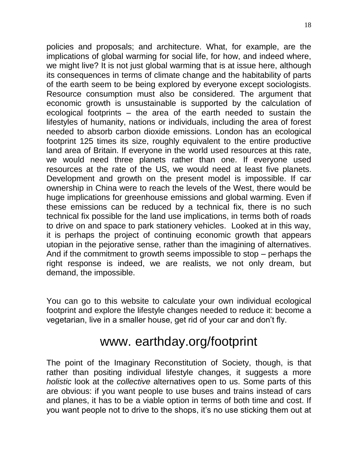policies and proposals; and architecture. What, for example, are the implications of global warming for social life, for how, and indeed where, we might live? It is not just global warming that is at issue here, although its consequences in terms of climate change and the habitability of parts of the earth seem to be being explored by everyone except sociologists. Resource consumption must also be considered. The argument that economic growth is unsustainable is supported by the calculation of ecological footprints – the area of the earth needed to sustain the lifestyles of humanity, nations or individuals, including the area of forest needed to absorb carbon dioxide emissions. London has an ecological footprint 125 times its size, roughly equivalent to the entire productive land area of Britain. If everyone in the world used resources at this rate, we would need three planets rather than one. If everyone used resources at the rate of the US, we would need at least five planets. Development and growth on the present model is impossible. If car ownership in China were to reach the levels of the West, there would be huge implications for greenhouse emissions and global warming. Even if these emissions can be reduced by a technical fix, there is no such technical fix possible for the land use implications, in terms both of roads to drive on and space to park stationery vehicles. Looked at in this way, it is perhaps the project of continuing economic growth that appears utopian in the pejorative sense, rather than the imagining of alternatives. And if the commitment to growth seems impossible to stop – perhaps the right response is indeed, we are realists, we not only dream, but demand, the impossible.

You can go to this website to calculate your own individual ecological footprint and explore the lifestyle changes needed to reduce it: become a vegetarian, live in a smaller house, get rid of your car and don't fly.

## www. earthday.org/footprint

The point of the Imaginary Reconstitution of Society, though, is that rather than positing individual lifestyle changes, it suggests a more *holistic* look at the *collective* alternatives open to us. Some parts of this are obvious: if you want people to use buses and trains instead of cars and planes, it has to be a viable option in terms of both time and cost. If you want people not to drive to the shops, it's no use sticking them out at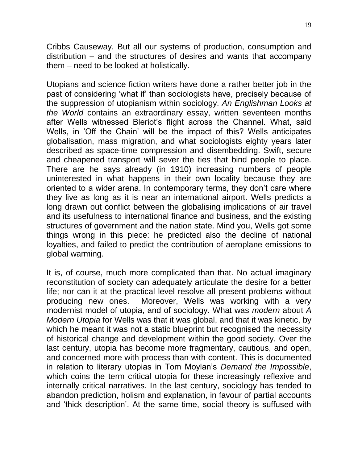Cribbs Causeway. But all our systems of production, consumption and distribution – and the structures of desires and wants that accompany them – need to be looked at holistically.

Utopians and science fiction writers have done a rather better job in the past of considering 'what if' than sociologists have, precisely because of the suppression of utopianism within sociology. *An Englishman Looks at the World* contains an extraordinary essay, written seventeen months after Wells witnessed Bleriot's flight across the Channel. What, said Wells, in 'Off the Chain' will be the impact of this? Wells anticipates globalisation, mass migration, and what sociologists eighty years later described as space-time compression and disembedding. Swift, secure and cheapened transport will sever the ties that bind people to place. There are he says already (in 1910) increasing numbers of people uninterested in what happens in their own locality because they are oriented to a wider arena. In contemporary terms, they don't care where they live as long as it is near an international airport. Wells predicts a long drawn out conflict between the globalising implications of air travel and its usefulness to international finance and business, and the existing structures of government and the nation state. Mind you, Wells got some things wrong in this piece: he predicted also the decline of national loyalties, and failed to predict the contribution of aeroplane emissions to global warming.

It is, of course, much more complicated than that. No actual imaginary reconstitution of society can adequately articulate the desire for a better life; nor can it at the practical level resolve all present problems without producing new ones. Moreover, Wells was working with a very modernist model of utopia, and of sociology. What was *modern* about *A Modern Utopia* for Wells was that it was global, and that it was kinetic, by which he meant it was not a static blueprint but recognised the necessity of historical change and development within the good society. Over the last century, utopia has become more fragmentary, cautious, and open, and concerned more with process than with content. This is documented in relation to literary utopias in Tom Moylan's *Demand the Impossible*, which coins the term critical utopia for these increasingly reflexive and internally critical narratives. In the last century, sociology has tended to abandon prediction, holism and explanation, in favour of partial accounts and 'thick description'. At the same time, social theory is suffused with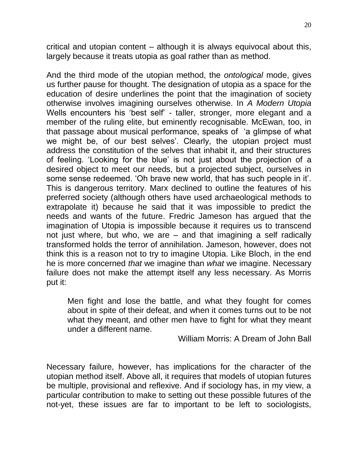critical and utopian content – although it is always equivocal about this, largely because it treats utopia as goal rather than as method.

And the third mode of the utopian method, the *ontological* mode, gives us further pause for thought. The designation of utopia as a space for the education of desire underlines the point that the imagination of society otherwise involves imagining ourselves otherwise. In *A Modern Utopia* Wells encounters his 'best self' - taller, stronger, more elegant and a member of the ruling elite, but eminently recognisable. McEwan, too, in that passage about musical performance, speaks of 'a glimpse of what we might be, of our best selves'. Clearly, the utopian project must address the constitution of the selves that inhabit it, and their structures of feeling. 'Looking for the blue' is not just about the projection of a desired object to meet our needs, but a projected subject, ourselves in some sense redeemed. 'Oh brave new world, that has such people in it'. This is dangerous territory. Marx declined to outline the features of his preferred society (although others have used archaeological methods to extrapolate it) because he said that it was impossible to predict the needs and wants of the future. Fredric Jameson has argued that the imagination of Utopia is impossible because it requires us to transcend not just where, but who, we are – and that imagining a self radically transformed holds the terror of annihilation. Jameson, however, does not think this is a reason not to try to imagine Utopia. Like Bloch, in the end he is more concerned *that* we imagine than *what* we imagine. Necessary failure does not make the attempt itself any less necessary. As Morris put it:

Men fight and lose the battle, and what they fought for comes about in spite of their defeat, and when it comes turns out to be not what they meant, and other men have to fight for what they meant under a different name.

William Morris: A Dream of John Ball

Necessary failure, however, has implications for the character of the utopian method itself. Above all, it requires that models of utopian futures be multiple, provisional and reflexive. And if sociology has, in my view, a particular contribution to make to setting out these possible futures of the not-yet, these issues are far to important to be left to sociologists,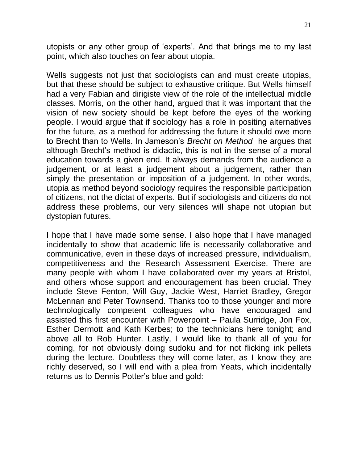utopists or any other group of 'experts'. And that brings me to my last point, which also touches on fear about utopia.

Wells suggests not just that sociologists can and must create utopias, but that these should be subject to exhaustive critique. But Wells himself had a very Fabian and dirigiste view of the role of the intellectual middle classes. Morris, on the other hand, argued that it was important that the vision of new society should be kept before the eyes of the working people. I would argue that if sociology has a role in positing alternatives for the future, as a method for addressing the future it should owe more to Brecht than to Wells. In Jameson's *Brecht on Method* he argues that although Brecht's method is didactic, this is not in the sense of a moral education towards a given end. It always demands from the audience a judgement, or at least a judgement about a judgement, rather than simply the presentation or imposition of a judgement. In other words, utopia as method beyond sociology requires the responsible participation of citizens, not the dictat of experts. But if sociologists and citizens do not address these problems, our very silences will shape not utopian but dystopian futures.

I hope that I have made some sense. I also hope that I have managed incidentally to show that academic life is necessarily collaborative and communicative, even in these days of increased pressure, individualism, competitiveness and the Research Assessment Exercise. There are many people with whom I have collaborated over my years at Bristol, and others whose support and encouragement has been crucial. They include Steve Fenton, Will Guy, Jackie West, Harriet Bradley, Gregor McLennan and Peter Townsend. Thanks too to those younger and more technologically competent colleagues who have encouraged and assisted this first encounter with Powerpoint – Paula Surridge, Jon Fox, Esther Dermott and Kath Kerbes; to the technicians here tonight; and above all to Rob Hunter. Lastly, I would like to thank all of you for coming, for not obviously doing sudoku and for not flicking ink pellets during the lecture. Doubtless they will come later, as I know they are richly deserved, so I will end with a plea from Yeats, which incidentally returns us to Dennis Potter's blue and gold: